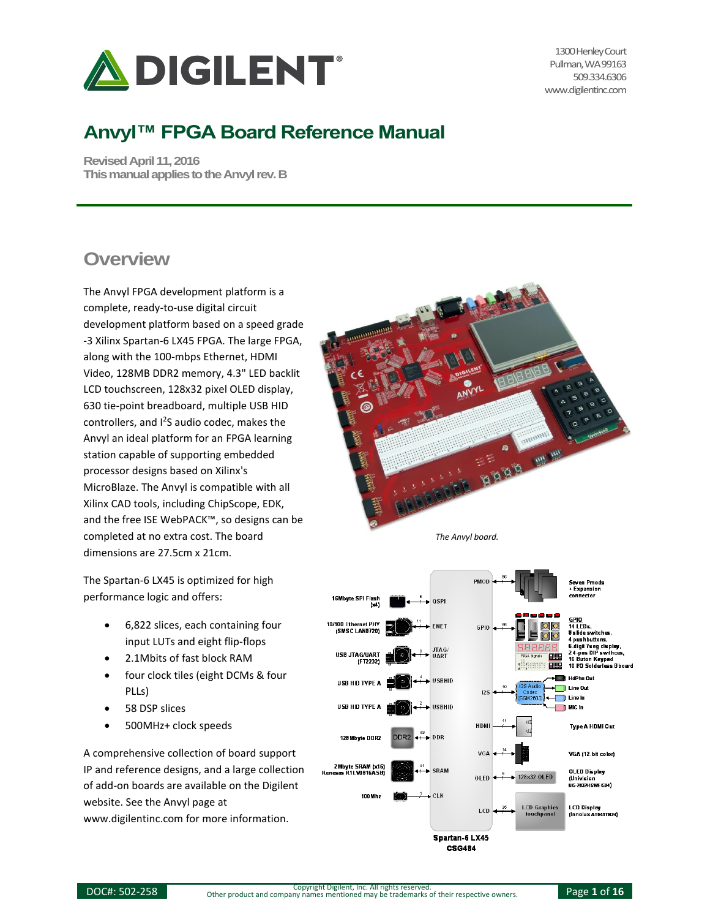

1300 Henley Court Pullman, WA 99163 509.334.6306 www.digilentinc.com

# **Anvyl™ FPGA Board Reference Manual**

**Revised April 11, 2016 This manual applies to the Anvylrev. B**

#### **Overview**

The Anvyl FPGA development platform is a complete, ready-to-use digital circuit development platform based on a speed grade -3 Xilinx Spartan-6 LX45 FPGA. The large FPGA, along with the 100-mbps Ethernet, HDMI Video, 128MB DDR2 memory, 4.3" LED backlit LCD touchscreen, 128x32 pixel OLED display, 630 tie-point breadboard, multiple USB HID controllers, and <sup>2</sup>S audio codec, makes the Anvyl an ideal platform for an FPGA learning station capable of supporting embedded processor designs based on Xilinx's MicroBlaze. The Anvyl is compatible with all Xilinx CAD tools, including ChipScope, EDK, and the free ISE WebPACK™, so designs can be completed at no extra cost. The board dimensions are 27.5cm x 21cm.

The Spartan-6 LX45 is optimized for high performance logic and offers:

- 6,822 slices, each containing four input LUTs and eight flip-flops
- 2.1Mbits of fast block RAM
- four clock tiles (eight DCMs & four PLLs)
- 58 DSP slices
- 500MHz+ clock speeds

A comprehensive collection of board support IP and reference designs, and a large collection of add-on boards are available on the Digilent website. See the Anvyl page at www.digilentinc.com for more information.



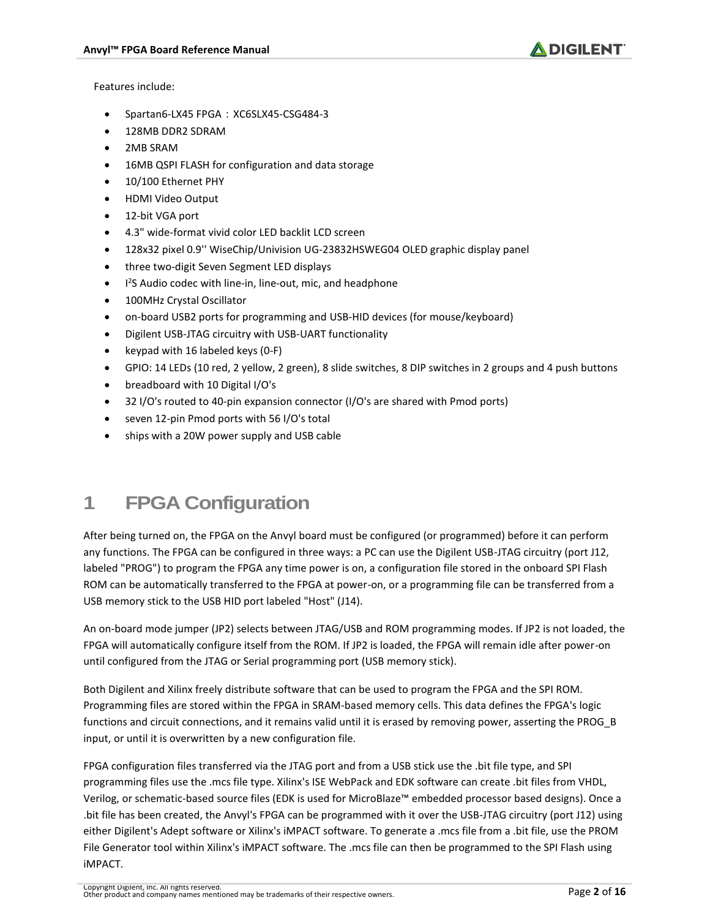

Features include:

- Spartan6-LX45 FPGA: XC6SLX45-CSG484-3
- 128MB DDR2 SDRAM
- 2MB SRAM
- 16MB QSPI FLASH for configuration and data storage
- 10/100 Ethernet PHY
- HDMI Video Output
- 12-bit VGA port
- 4.3" wide-format vivid color LED backlit LCD screen
- 128x32 pixel 0.9'' WiseChip/Univision UG-23832HSWEG04 OLED graphic display panel
- three two-digit Seven Segment LED displays
- $\bullet$ <sup>2</sup>S Audio codec with line-in, line-out, mic, and headphone
- 100MHz Crystal Oscillator
- on-board USB2 ports for programming and USB-HID devices (for mouse/keyboard)
- Digilent USB-JTAG circuitry with USB-UART functionality
- keypad with 16 labeled keys  $(0-F)$
- GPIO: 14 LEDs (10 red, 2 yellow, 2 green), 8 slide switches, 8 DIP switches in 2 groups and 4 push buttons
- breadboard with 10 Digital I/O's
- 32 I/O's routed to 40-pin expansion connector (I/O's are shared with Pmod ports)
- seven 12-pin Pmod ports with 56 I/O's total
- ships with a 20W power supply and USB cable

#### **1 FPGA Configuration**

After being turned on, the FPGA on the Anvyl board must be configured (or programmed) before it can perform any functions. The FPGA can be configured in three ways: a PC can use the Digilent USB-JTAG circuitry (port J12, labeled "PROG") to program the FPGA any time power is on, a configuration file stored in the onboard SPI Flash ROM can be automatically transferred to the FPGA at power-on, or a programming file can be transferred from a USB memory stick to the USB HID port labeled "Host" (J14).

An on-board mode jumper (JP2) selects between JTAG/USB and ROM programming modes. If JP2 is not loaded, the FPGA will automatically configure itself from the ROM. If JP2 is loaded, the FPGA will remain idle after power-on until configured from the JTAG or Serial programming port (USB memory stick).

Both Digilent and Xilinx freely distribute software that can be used to program the FPGA and the SPI ROM. Programming files are stored within the FPGA in SRAM-based memory cells. This data defines the FPGA's logic functions and circuit connections, and it remains valid until it is erased by removing power, asserting the PROG\_B input, or until it is overwritten by a new configuration file.

FPGA configuration files transferred via the JTAG port and from a USB stick use the .bit file type, and SPI programming files use the .mcs file type. Xilinx's ISE WebPack and EDK software can create .bit files from VHDL, Verilog, or schematic-based source files (EDK is used for MicroBlaze™ embedded processor based designs). Once a .bit file has been created, the Anvyl's FPGA can be programmed with it over the USB-JTAG circuitry (port J12) using either Digilent's Adept software or Xilinx's iMPACT software. To generate a .mcs file from a .bit file, use the PROM File Generator tool within Xilinx's iMPACT software. The .mcs file can then be programmed to the SPI Flash using iMPACT.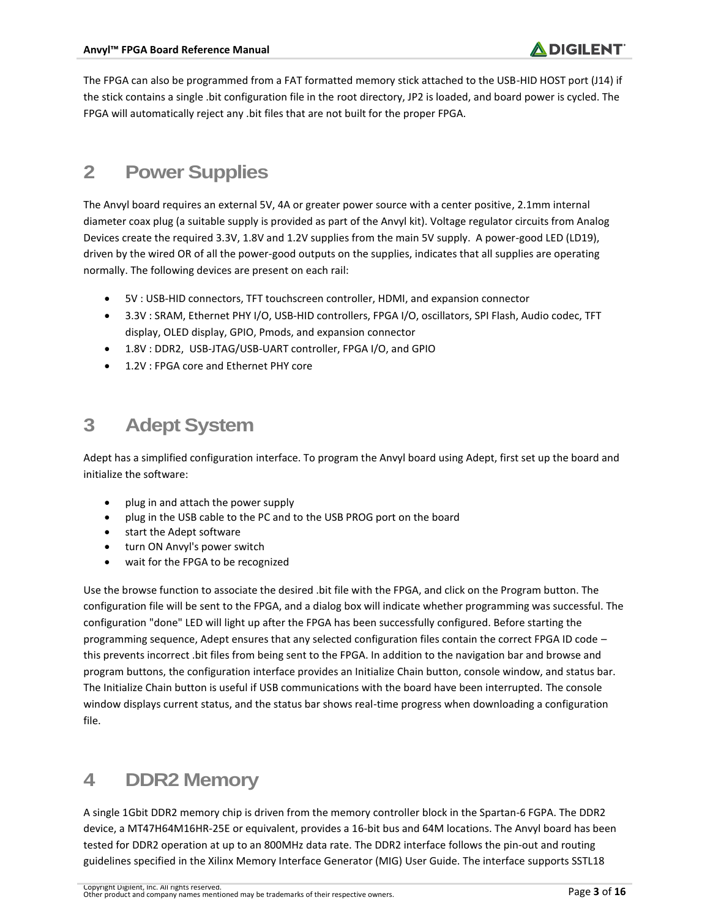The FPGA can also be programmed from a FAT formatted memory stick attached to the USB-HID HOST port (J14) if the stick contains a single .bit configuration file in the root directory, JP2 is loaded, and board power is cycled. The FPGA will automatically reject any .bit files that are not built for the proper FPGA.

### **2 Power Supplies**

The Anvyl board requires an external 5V, 4A or greater power source with a center positive, 2.1mm internal diameter coax plug (a suitable supply is provided as part of the Anvyl kit). Voltage regulator circuits from Analog Devices create the required 3.3V, 1.8V and 1.2V supplies from the main 5V supply. A power-good LED (LD19), driven by the wired OR of all the power-good outputs on the supplies, indicates that all supplies are operating normally. The following devices are present on each rail:

- 5V : USB-HID connectors, TFT touchscreen controller, HDMI, and expansion connector
- 3.3V : SRAM, Ethernet PHY I/O, USB-HID controllers, FPGA I/O, oscillators, SPI Flash, Audio codec, TFT display, OLED display, GPIO, Pmods, and expansion connector
- 1.8V : DDR2, USB-JTAG/USB-UART controller, FPGA I/O, and GPIO
- 1.2V : FPGA core and Ethernet PHY core

# **3 Adept System**

Adept has a simplified configuration interface. To program the Anvyl board using Adept, first set up the board and initialize the software:

- plug in and attach the power supply
- plug in the USB cable to the PC and to the USB PROG port on the board
- start the Adept software
- turn ON Anvyl's power switch
- wait for the FPGA to be recognized

Use the browse function to associate the desired .bit file with the FPGA, and click on the Program button. The configuration file will be sent to the FPGA, and a dialog box will indicate whether programming was successful. The configuration "done" LED will light up after the FPGA has been successfully configured. Before starting the programming sequence, Adept ensures that any selected configuration files contain the correct FPGA ID code – this prevents incorrect .bit files from being sent to the FPGA. In addition to the navigation bar and browse and program buttons, the configuration interface provides an Initialize Chain button, console window, and status bar. The Initialize Chain button is useful if USB communications with the board have been interrupted. The console window displays current status, and the status bar shows real-time progress when downloading a configuration file.

#### **4 DDR2 Memory**

A single 1Gbit DDR2 memory chip is driven from the memory controller block in the Spartan-6 FGPA. The DDR2 device, a MT47H64M16HR-25E or equivalent, provides a 16-bit bus and 64M locations. The Anvyl board has been tested for DDR2 operation at up to an 800MHz data rate. The DDR2 interface follows the pin-out and routing guidelines specified in the Xilinx Memory Interface Generator (MIG) User Guide. The interface supports SSTL18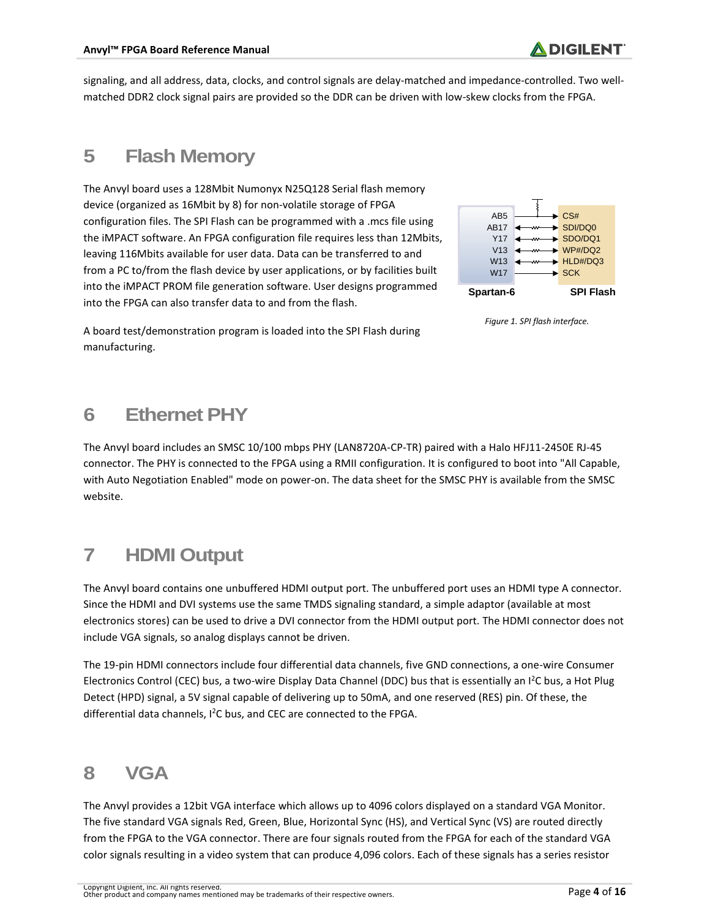signaling, and all address, data, clocks, and control signals are delay-matched and impedance-controlled. Two wellmatched DDR2 clock signal pairs are provided so the DDR can be driven with low-skew clocks from the FPGA.

#### **5 Flash Memory**

The Anvyl board uses a 128Mbit Numonyx N25Q128 Serial flash memory device (organized as 16Mbit by 8) for non-volatile storage of FPGA configuration files. The SPI Flash can be programmed with a .mcs file using the iMPACT software. An FPGA configuration file requires less than 12Mbits, leaving 116Mbits available for user data. Data can be transferred to and from a PC to/from the flash device by user applications, or by facilities built into the iMPACT PROM file generation software. User designs programmed into the FPGA can also transfer data to and from the flash.



*Figure 1. SPI flash interface.*

A board test/demonstration program is loaded into the SPI Flash during manufacturing.

# **6 Ethernet PHY**

The Anvyl board includes an SMSC 10/100 mbps PHY (LAN8720A-CP-TR) paired with a Halo HFJ11-2450E RJ-45 connector. The PHY is connected to the FPGA using a RMII configuration. It is configured to boot into "All Capable, with Auto Negotiation Enabled" mode on power-on. The data sheet for the SMSC PHY is available from the SMSC website.

# **7 HDMI Output**

The Anvyl board contains one unbuffered HDMI output port. The unbuffered port uses an HDMI type A connector. Since the HDMI and DVI systems use the same TMDS signaling standard, a simple adaptor (available at most electronics stores) can be used to drive a DVI connector from the HDMI output port. The HDMI connector does not include VGA signals, so analog displays cannot be driven.

The 19-pin HDMI connectors include four differential data channels, five GND connections, a one-wire Consumer Electronics Control (CEC) bus, a two-wire Display Data Channel (DDC) bus that is essentially an I<sup>2</sup>C bus, a Hot Plug Detect (HPD) signal, a 5V signal capable of delivering up to 50mA, and one reserved (RES) pin. Of these, the differential data channels, I<sup>2</sup>C bus, and CEC are connected to the FPGA.

#### **8 VGA**

The Anvyl provides a 12bit VGA interface which allows up to 4096 colors displayed on a standard VGA Monitor. The five standard VGA signals Red, Green, Blue, Horizontal Sync (HS), and Vertical Sync (VS) are routed directly from the FPGA to the VGA connector. There are four signals routed from the FPGA for each of the standard VGA color signals resulting in a video system that can produce 4,096 colors. Each of these signals has a series resistor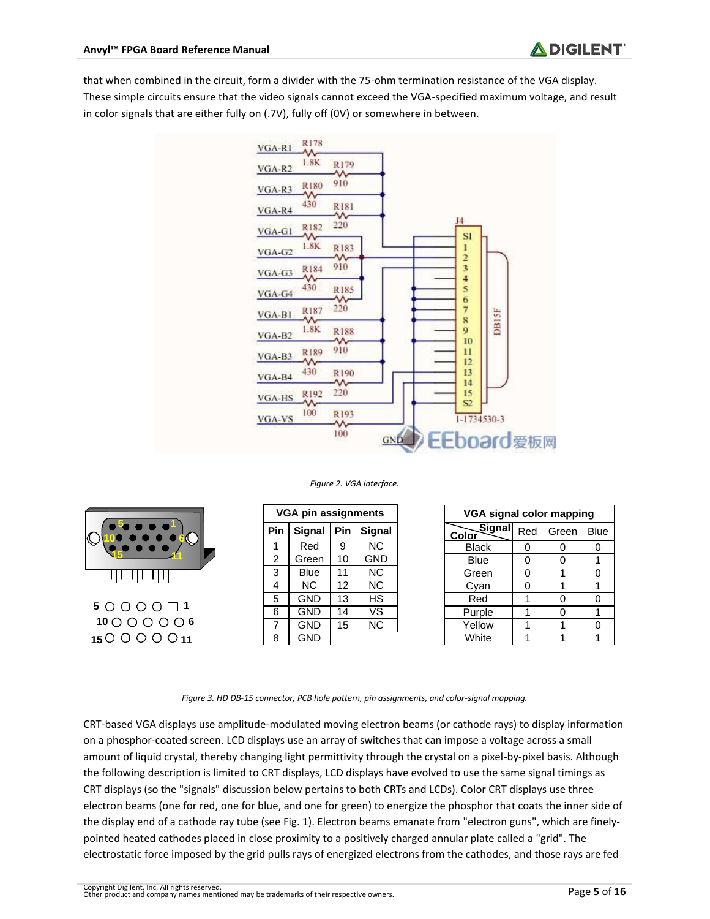that when combined in the circuit, form a divider with the 75-ohm termination resistance of the VGA display. These simple circuits ensure that the video signals cannot exceed the VGA-specified maximum voltage, and result in color signals that are either fully on (.7V), fully off (0V) or somewhere in between.



#### *Figure 2. VGA interface.*



|    |     | <b>VGA pin assignments</b> |     |                          |
|----|-----|----------------------------|-----|--------------------------|
| 1  | Pin | Signal                     | Pin | Signal                   |
|    |     | Red                        | 9   | <b>NC</b>                |
|    | 2   | Green                      | 10  | <b>GND</b>               |
|    | 3   | <b>Blue</b>                | 11  | <b>NC</b>                |
|    | 4   | <b>NC</b>                  | 12  | $\overline{\text{NC}}$   |
| -1 | 5   | <b>GND</b>                 | 13  | НS                       |
|    | 6   | <b>GND</b>                 | 14  | $\overline{\mathsf{vs}}$ |
| 6  | 7   | <b>GND</b>                 | 15  | <b>NC</b>                |
|    | 8   | <b>GND</b>                 |     |                          |

|    | VGA pin assignments |            |                | VGA signal color mapping |                  |     |       |             |
|----|---------------------|------------|----------------|--------------------------|------------------|-----|-------|-------------|
| in | <b>Signal</b>       | <b>Pin</b> | <b>Signal</b>  |                          | Signall<br>Color | Red | Green | <b>Blue</b> |
|    | Red                 | 9          | NC.            |                          | <b>Black</b>     |     |       |             |
|    | Green               | 10         | GND            |                          | Blue             |     |       |             |
|    | Blue                | 11         | NC.            |                          | Green            | O   |       |             |
|    | NC.                 | 12         | N <sub>C</sub> |                          | Cvan             | ∩   |       |             |
|    | <b>GND</b>          | 13         | HS.            |                          | Red              |     |       |             |
|    | <b>GND</b>          | 14         | VS             |                          | Purple           |     |       |             |
|    | <b>GND</b>          | 15         | NC.            |                          | Yellow           |     |       |             |
|    | <b>GND</b>          |            |                |                          | White            |     |       |             |

*Figure 3. HD DB-15 connector, PCB hole pattern, pin assignments, and color-signal mapping.*

CRT-based VGA displays use amplitude-modulated moving electron beams (or cathode rays) to display information on a phosphor-coated screen. LCD displays use an array of switches that can impose a voltage across a small amount of liquid crystal, thereby changing light permittivity through the crystal on a pixel-by-pixel basis. Although the following description is limited to CRT displays, LCD displays have evolved to use the same signal timings as CRT displays (so the "signals" discussion below pertains to both CRTs and LCDs). Color CRT displays use three electron beams (one for red, one for blue, and one for green) to energize the phosphor that coats the inner side of the display end of a cathode ray tube (see Fig. 1). Electron beams emanate from "electron guns", which are finelypointed heated cathodes placed in close proximity to a positively charged annular plate called a "grid". The electrostatic force imposed by the grid pulls rays of energized electrons from the cathodes, and those rays are fed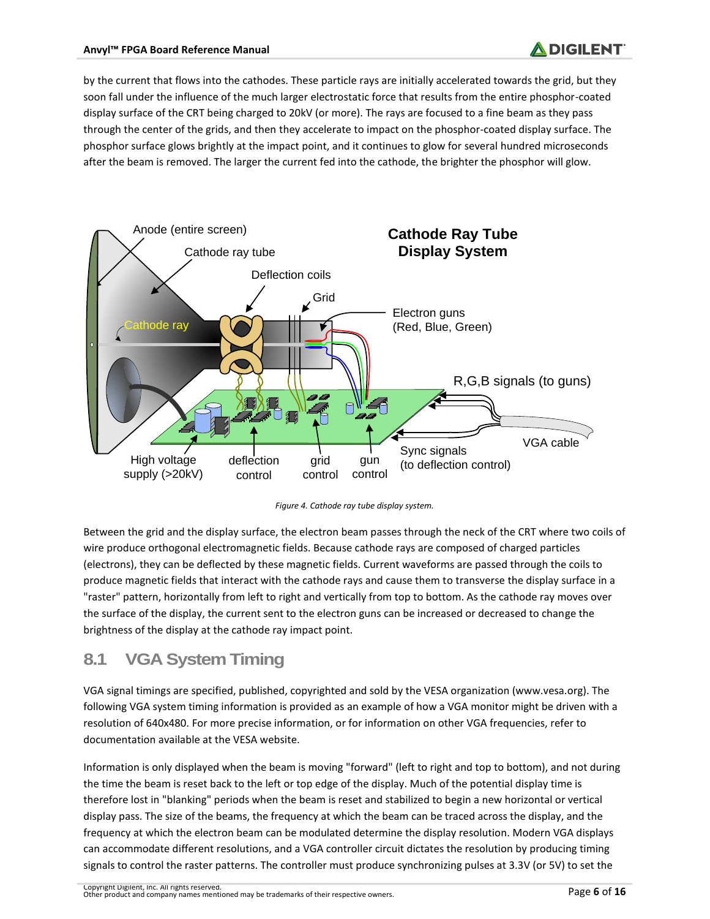by the current that flows into the cathodes. These particle rays are initially accelerated towards the grid, but they soon fall under the influence of the much larger electrostatic force that results from the entire phosphor-coated display surface of the CRT being charged to 20kV (or more). The rays are focused to a fine beam as they pass through the center of the grids, and then they accelerate to impact on the phosphor-coated display surface. The phosphor surface glows brightly at the impact point, and it continues to glow for several hundred microseconds after the beam is removed. The larger the current fed into the cathode, the brighter the phosphor will glow.



*Figure 4. Cathode ray tube display system.*

Between the grid and the display surface, the electron beam passes through the neck of the CRT where two coils of wire produce orthogonal electromagnetic fields. Because cathode rays are composed of charged particles (electrons), they can be deflected by these magnetic fields. Current waveforms are passed through the coils to produce magnetic fields that interact with the cathode rays and cause them to transverse the display surface in a "raster" pattern, horizontally from left to right and vertically from top to bottom. As the cathode ray moves over the surface of the display, the current sent to the electron guns can be increased or decreased to change the brightness of the display at the cathode ray impact point.

#### **8.1 VGA System Timing**

VGA signal timings are specified, published, copyrighted and sold by the VESA organization (www.vesa.org). The following VGA system timing information is provided as an example of how a VGA monitor might be driven with a resolution of 640x480. For more precise information, or for information on other VGA frequencies, refer to documentation available at the VESA website.

Information is only displayed when the beam is moving "forward" (left to right and top to bottom), and not during the time the beam is reset back to the left or top edge of the display. Much of the potential display time is therefore lost in "blanking" periods when the beam is reset and stabilized to begin a new horizontal or vertical display pass. The size of the beams, the frequency at which the beam can be traced across the display, and the frequency at which the electron beam can be modulated determine the display resolution. Modern VGA displays can accommodate different resolutions, and a VGA controller circuit dictates the resolution by producing timing signals to control the raster patterns. The controller must produce synchronizing pulses at 3.3V (or 5V) to set the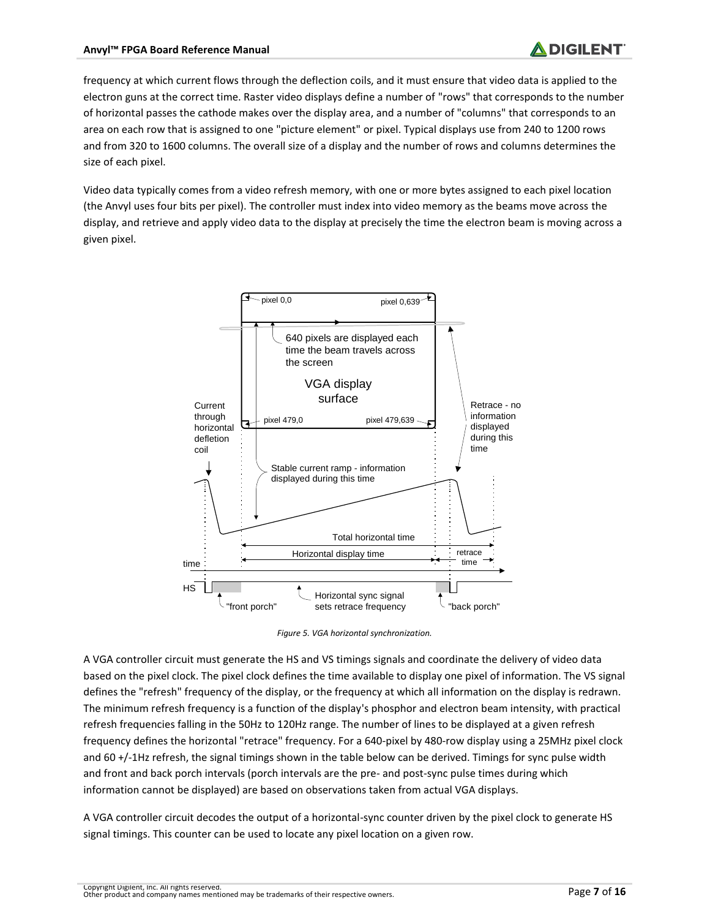frequency at which current flows through the deflection coils, and it must ensure that video data is applied to the electron guns at the correct time. Raster video displays define a number of "rows" that corresponds to the number of horizontal passes the cathode makes over the display area, and a number of "columns" that corresponds to an area on each row that is assigned to one "picture element" or pixel. Typical displays use from 240 to 1200 rows and from 320 to 1600 columns. The overall size of a display and the number of rows and columns determines the size of each pixel.

Video data typically comes from a video refresh memory, with one or more bytes assigned to each pixel location (the Anvyl uses four bits per pixel). The controller must index into video memory as the beams move across the display, and retrieve and apply video data to the display at precisely the time the electron beam is moving across a given pixel.



*Figure 5. VGA horizontal synchronization.*

A VGA controller circuit must generate the HS and VS timings signals and coordinate the delivery of video data based on the pixel clock. The pixel clock defines the time available to display one pixel of information. The VS signal defines the "refresh" frequency of the display, or the frequency at which all information on the display is redrawn. The minimum refresh frequency is a function of the display's phosphor and electron beam intensity, with practical refresh frequencies falling in the 50Hz to 120Hz range. The number of lines to be displayed at a given refresh frequency defines the horizontal "retrace" frequency. For a 640-pixel by 480-row display using a 25MHz pixel clock and 60 +/-1Hz refresh, the signal timings shown in the table below can be derived. Timings for sync pulse width and front and back porch intervals (porch intervals are the pre- and post-sync pulse times during which information cannot be displayed) are based on observations taken from actual VGA displays.

A VGA controller circuit decodes the output of a horizontal-sync counter driven by the pixel clock to generate HS signal timings. This counter can be used to locate any pixel location on a given row.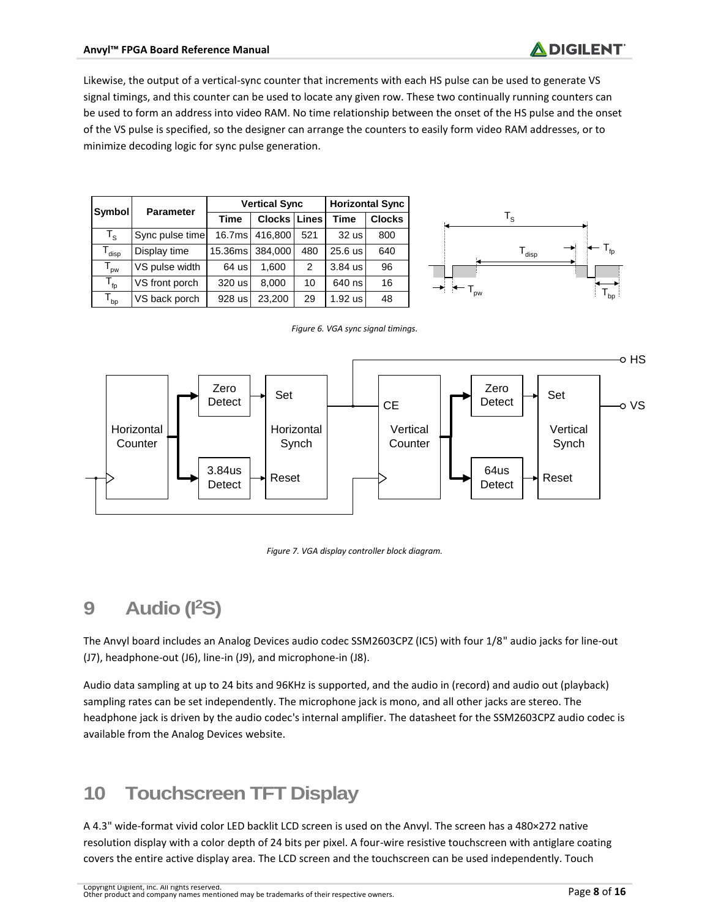Likewise, the output of a vertical-sync counter that increments with each HS pulse can be used to generate VS signal timings, and this counter can be used to locate any given row. These two continually running counters can be used to form an address into video RAM. No time relationship between the onset of the HS pulse and the onset of the VS pulse is specified, so the designer can arrange the counters to easily form video RAM addresses, or to minimize decoding logic for sync pulse generation.

| <b>Symbol</b>                | <b>Parameter</b> |                    | <b>Vertical Sync</b> | <b>Horizontal Sync</b> |             |               |
|------------------------------|------------------|--------------------|----------------------|------------------------|-------------|---------------|
|                              |                  | <b>Time</b>        | Clocks Lines         |                        | <b>Time</b> | <b>Clocks</b> |
| $T_{\rm s}$                  | Sync pulse time  | 16.7 <sub>ms</sub> | 416,800              | 521                    | 32 us       | 800           |
| $\mathsf{T}_{\mathsf{disp}}$ | Display time     | 15.36ms            | 384,000              | 480                    | $25.6$ us   | 640           |
| <b>DW</b>                    | VS pulse width   | $64$ us            | 1,600                | 2                      | $3.84$ us   | 96            |
| $T_{\text{fp}}$              | VS front porch   | 320 us             | 8,000                | 10                     | 640 ns      | 16            |
| $T_{bp}$                     | VS back porch    | 928 us             | 23,200               | 29                     | 1.92 us     | 48            |



#### *Figure 6. VGA sync signal timings.*





# **9 Audio (I<sup>2</sup>S)**

The Anvyl board includes an Analog Devices audio codec SSM2603CPZ (IC5) with four 1/8" audio jacks for line-out (J7), headphone-out (J6), line-in (J9), and microphone-in (J8).

Audio data sampling at up to 24 bits and 96KHz is supported, and the audio in (record) and audio out (playback) sampling rates can be set independently. The microphone jack is mono, and all other jacks are stereo. The headphone jack is driven by the audio codec's internal amplifier. The datasheet for the SSM2603CPZ audio codec is available from the Analog Devices website.

#### **10 Touchscreen TFT Display**

A 4.3" wide-format vivid color LED backlit LCD screen is used on the Anvyl. The screen has a 480×272 native resolution display with a color depth of 24 bits per pixel. A four-wire resistive touchscreen with antiglare coating covers the entire active display area. The LCD screen and the touchscreen can be used independently. Touch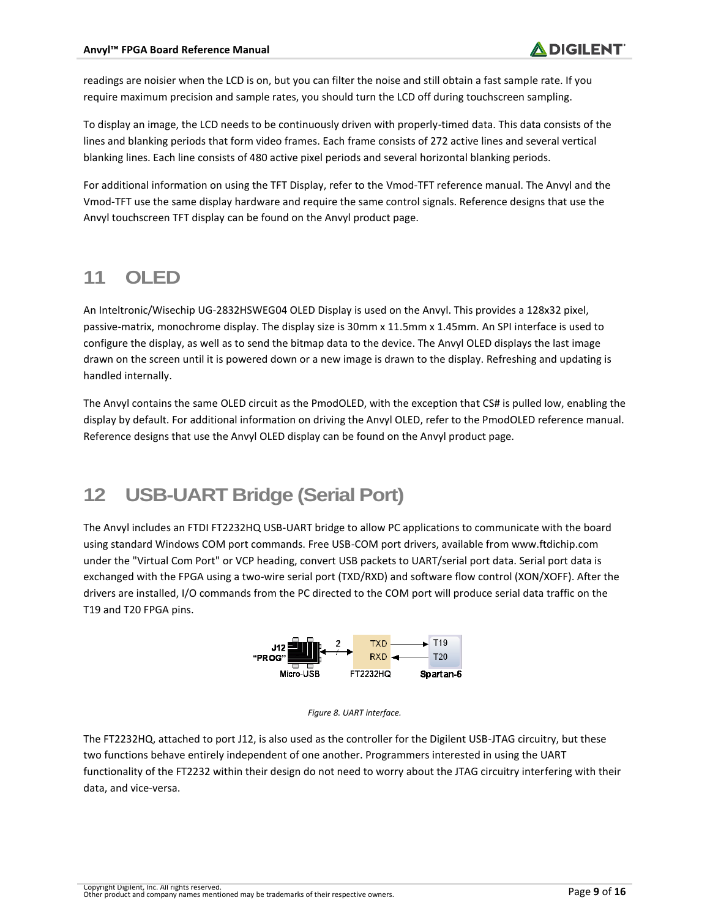readings are noisier when the LCD is on, but you can filter the noise and still obtain a fast sample rate. If you require maximum precision and sample rates, you should turn the LCD off during touchscreen sampling.

To display an image, the LCD needs to be continuously driven with properly-timed data. This data consists of the lines and blanking periods that form video frames. Each frame consists of 272 active lines and several vertical blanking lines. Each line consists of 480 active pixel periods and several horizontal blanking periods.

For additional information on using the TFT Display, refer to the Vmod-TFT reference manual. The Anvyl and the Vmod-TFT use the same display hardware and require the same control signals. Reference designs that use the Anvyl touchscreen TFT display can be found on the Anvyl product page.

#### **11 OLED**

An Inteltronic/Wisechip UG-2832HSWEG04 OLED Display is used on the Anvyl. This provides a 128x32 pixel, passive-matrix, monochrome display. The display size is 30mm x 11.5mm x 1.45mm. An SPI interface is used to configure the display, as well as to send the bitmap data to the device. The Anvyl OLED displays the last image drawn on the screen until it is powered down or a new image is drawn to the display. Refreshing and updating is handled internally.

The Anvyl contains the same OLED circuit as the PmodOLED, with the exception that CS# is pulled low, enabling the display by default. For additional information on driving the Anvyl OLED, refer to the PmodOLED reference manual. Reference designs that use the Anvyl OLED display can be found on the Anvyl product page.

#### **12 USB-UART Bridge (Serial Port)**

The Anvyl includes an FTDI FT2232HQ USB-UART bridge to allow PC applications to communicate with the board using standard Windows COM port commands. Free USB-COM port drivers, available from www.ftdichip.com under the "Virtual Com Port" or VCP heading, convert USB packets to UART/serial port data. Serial port data is exchanged with the FPGA using a two-wire serial port (TXD/RXD) and software flow control (XON/XOFF). After the drivers are installed, I/O commands from the PC directed to the COM port will produce serial data traffic on the T19 and T20 FPGA pins.





The FT2232HQ, attached to port J12, is also used as the controller for the Digilent USB-JTAG circuitry, but these two functions behave entirely independent of one another. Programmers interested in using the UART functionality of the FT2232 within their design do not need to worry about the JTAG circuitry interfering with their data, and vice-versa.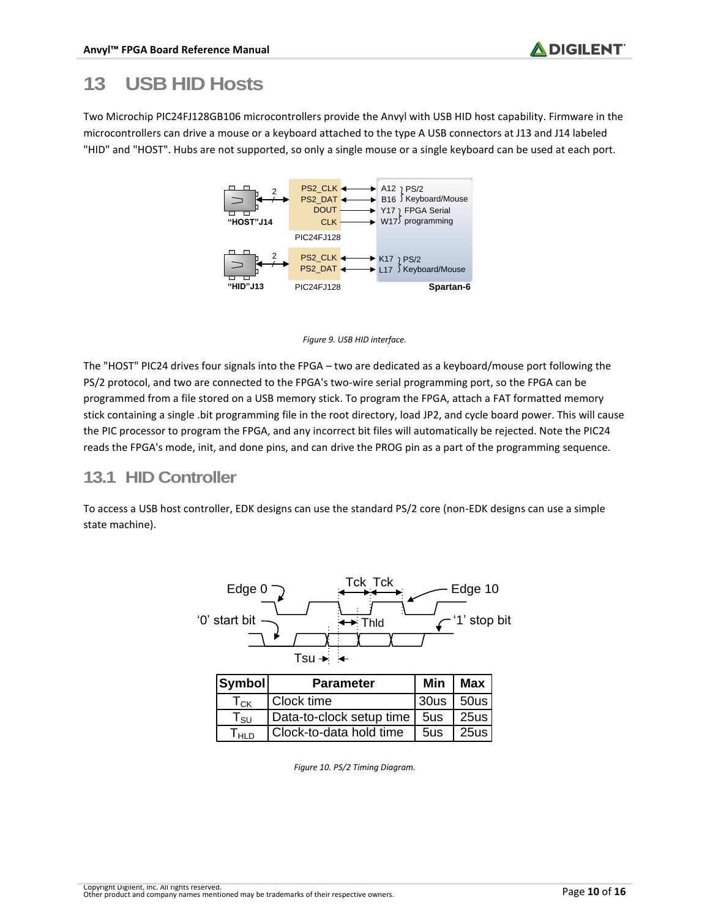# **13 USB HID Hosts**

Two Microchip PIC24FJ128GB106 microcontrollers provide the Anvyl with USB HID host capability. Firmware in the microcontrollers can drive a mouse or a keyboard attached to the type A USB connectors at J13 and J14 labeled "HID" and "HOST". Hubs are not supported, so only a single mouse or a single keyboard can be used at each port.





The "HOST" PIC24 drives four signals into the FPGA – two are dedicated as a keyboard/mouse port following the PS/2 protocol, and two are connected to the FPGA's two-wire serial programming port, so the FPGA can be programmed from a file stored on a USB memory stick. To program the FPGA, attach a FAT formatted memory stick containing a single .bit programming file in the root directory, load JP2, and cycle board power. This will cause the PIC processor to program the FPGA, and any incorrect bit files will automatically be rejected. Note the PIC24 reads the FPGA's mode, init, and done pins, and can drive the PROG pin as a part of the programming sequence.

#### **13.1 HID Controller**

To access a USB host controller, EDK designs can use the standard PS/2 core (non-EDK designs can use a simple state machine).



| Symbol | <b>Parameter</b>               | Min I       | ' Max |
|--------|--------------------------------|-------------|-------|
| Тск    | Clock time                     | 30us   50us |       |
| l su   | Data-to-clock setup time   5us |             | 25us  |
| Ініп   | Clock-to-data hold time        | 5us         | 25us  |

*Figure 10. PS/2 Timing Diagram.*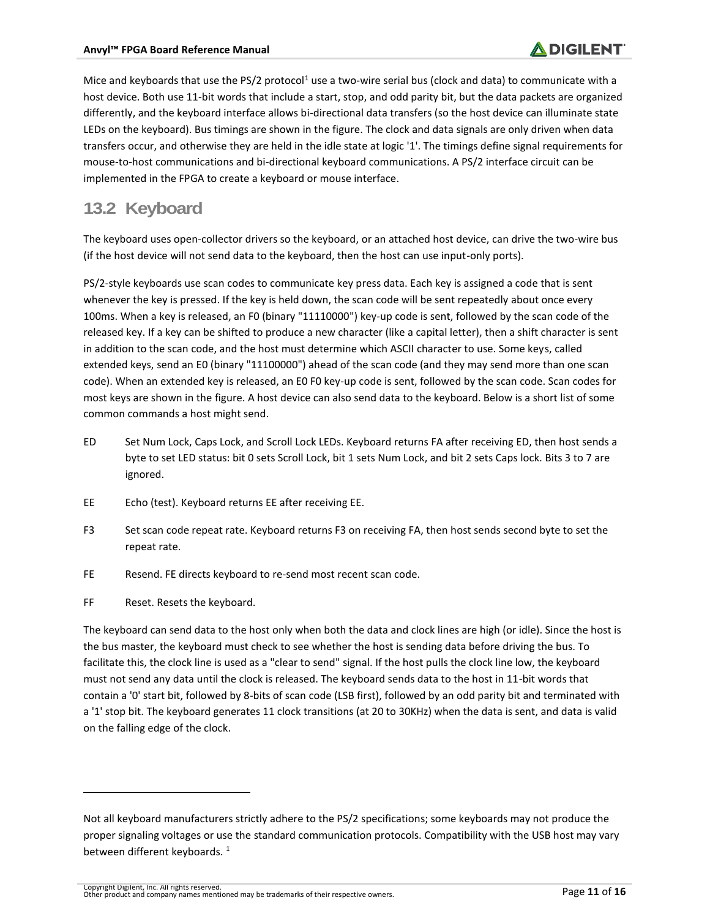Mice and keyboards that use the PS/2 protocol<sup>1</sup> use a two-wire serial bus (clock and data) to communicate with a host device. Both use 11-bit words that include a start, stop, and odd parity bit, but the data packets are organized differently, and the keyboard interface allows bi-directional data transfers (so the host device can illuminate state LEDs on the keyboard). Bus timings are shown in the figure. The clock and data signals are only driven when data transfers occur, and otherwise they are held in the idle state at logic '1'. The timings define signal requirements for mouse-to-host communications and bi-directional keyboard communications. A PS/2 interface circuit can be implemented in the FPGA to create a keyboard or mouse interface.

#### **13.2 Keyboard**

The keyboard uses open-collector drivers so the keyboard, or an attached host device, can drive the two-wire bus (if the host device will not send data to the keyboard, then the host can use input-only ports).

PS/2-style keyboards use scan codes to communicate key press data. Each key is assigned a code that is sent whenever the key is pressed. If the key is held down, the scan code will be sent repeatedly about once every 100ms. When a key is released, an F0 (binary "11110000") key-up code is sent, followed by the scan code of the released key. If a key can be shifted to produce a new character (like a capital letter), then a shift character is sent in addition to the scan code, and the host must determine which ASCII character to use. Some keys, called extended keys, send an E0 (binary "11100000") ahead of the scan code (and they may send more than one scan code). When an extended key is released, an E0 F0 key-up code is sent, followed by the scan code. Scan codes for most keys are shown in the figure. A host device can also send data to the keyboard. Below is a short list of some common commands a host might send.

- ED Set Num Lock, Caps Lock, and Scroll Lock LEDs. Keyboard returns FA after receiving ED, then host sends a byte to set LED status: bit 0 sets Scroll Lock, bit 1 sets Num Lock, and bit 2 sets Caps lock. Bits 3 to 7 are ignored.
- EE Echo (test). Keyboard returns EE after receiving EE.
- F3 Set scan code repeat rate. Keyboard returns F3 on receiving FA, then host sends second byte to set the repeat rate.
- FE Resend. FE directs keyboard to re-send most recent scan code.
- FF Reset. Resets the keyboard.

 $\overline{a}$ 

The keyboard can send data to the host only when both the data and clock lines are high (or idle). Since the host is the bus master, the keyboard must check to see whether the host is sending data before driving the bus. To facilitate this, the clock line is used as a "clear to send" signal. If the host pulls the clock line low, the keyboard must not send any data until the clock is released. The keyboard sends data to the host in 11-bit words that contain a '0' start bit, followed by 8-bits of scan code (LSB first), followed by an odd parity bit and terminated with a '1' stop bit. The keyboard generates 11 clock transitions (at 20 to 30KHz) when the data is sent, and data is valid on the falling edge of the clock.

Not all keyboard manufacturers strictly adhere to the PS/2 specifications; some keyboards may not produce the proper signaling voltages or use the standard communication protocols. Compatibility with the USB host may vary between different keyboards.  $1$ 

Copyright Digilent, Inc. All rights reserved. Other product and company names mentioned may be trademarks of their respective owners. Page **11** of **16**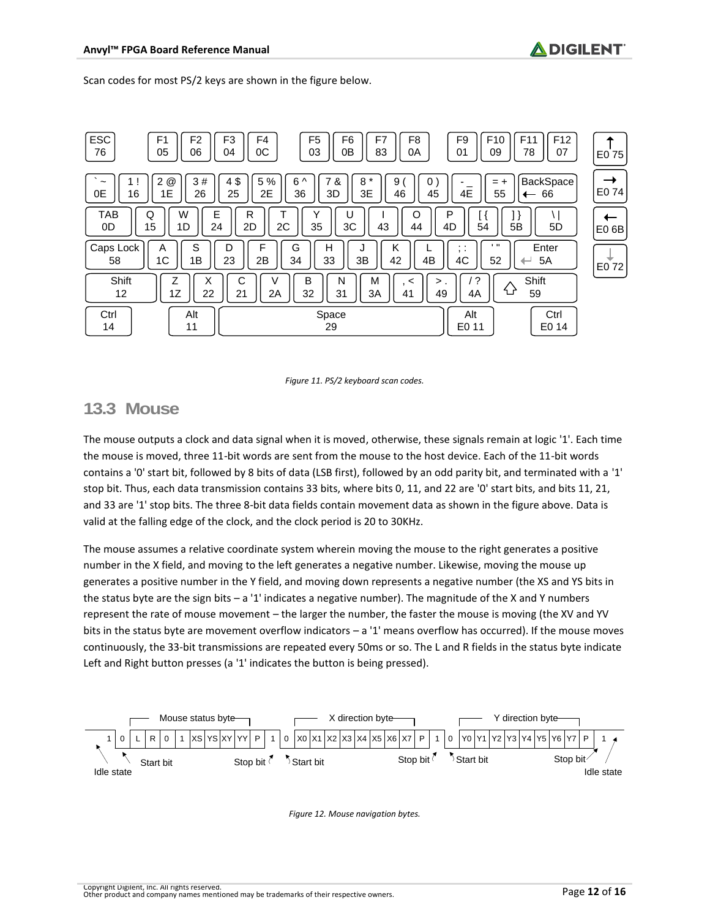Scan codes for most PS/2 keys are shown in the figure below.



*Figure 11. PS/2 keyboard scan codes.*

#### **13.3 Mouse**

The mouse outputs a clock and data signal when it is moved, otherwise, these signals remain at logic '1'. Each time the mouse is moved, three 11-bit words are sent from the mouse to the host device. Each of the 11-bit words contains a '0' start bit, followed by 8 bits of data (LSB first), followed by an odd parity bit, and terminated with a '1' stop bit. Thus, each data transmission contains 33 bits, where bits 0, 11, and 22 are '0' start bits, and bits 11, 21, and 33 are '1' stop bits. The three 8-bit data fields contain movement data as shown in the figure above. Data is valid at the falling edge of the clock, and the clock period is 20 to 30KHz.

The mouse assumes a relative coordinate system wherein moving the mouse to the right generates a positive number in the X field, and moving to the left generates a negative number. Likewise, moving the mouse up generates a positive number in the Y field, and moving down represents a negative number (the XS and YS bits in the status byte are the sign bits – a '1' indicates a negative number). The magnitude of the X and Y numbers represent the rate of mouse movement – the larger the number, the faster the mouse is moving (the XV and YV bits in the status byte are movement overflow indicators – a '1' means overflow has occurred). If the mouse moves continuously, the 33-bit transmissions are repeated every 50ms or so. The L and R fields in the status byte indicate Left and Right button presses (a '1' indicates the button is being pressed).



*Figure 12. Mouse navigation bytes.*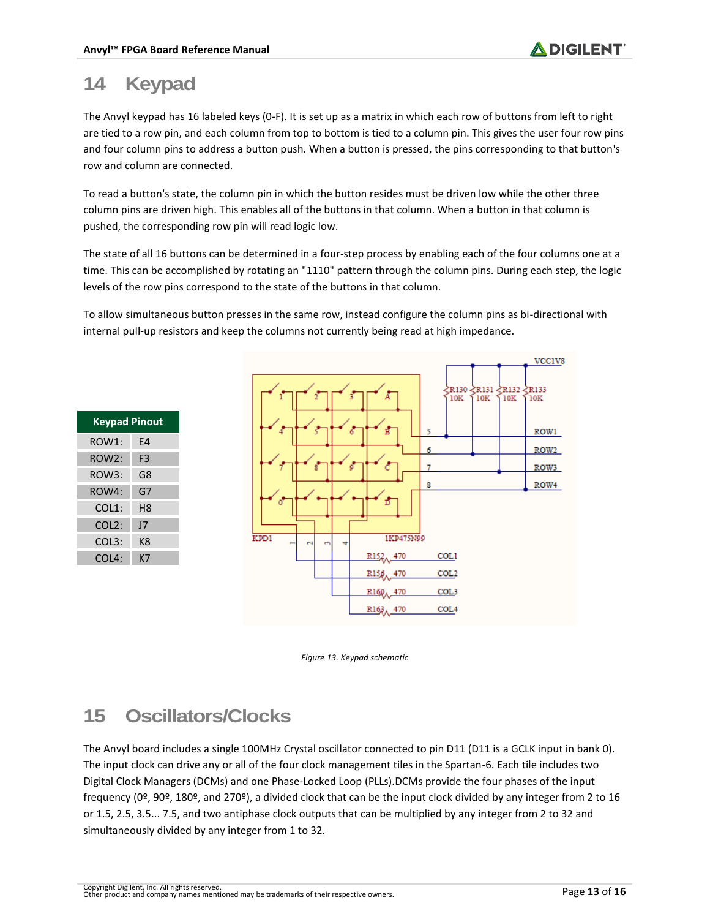### **14 Keypad**

The Anvyl keypad has 16 labeled keys (0-F). It is set up as a matrix in which each row of buttons from left to right are tied to a row pin, and each column from top to bottom is tied to a column pin. This gives the user four row pins and four column pins to address a button push. When a button is pressed, the pins corresponding to that button's row and column are connected.

To read a button's state, the column pin in which the button resides must be driven low while the other three column pins are driven high. This enables all of the buttons in that column. When a button in that column is pushed, the corresponding row pin will read logic low.

The state of all 16 buttons can be determined in a four-step process by enabling each of the four columns one at a time. This can be accomplished by rotating an "1110" pattern through the column pins. During each step, the logic levels of the row pins correspond to the state of the buttons in that column.

To allow simultaneous button presses in the same row, instead configure the column pins as bi-directional with internal pull-up resistors and keep the columns not currently being read at high impedance.

| <b>Keypad Pinout</b> |    |  |  |  |  |  |
|----------------------|----|--|--|--|--|--|
| ROW1:                | F4 |  |  |  |  |  |
| ROW2:                | F3 |  |  |  |  |  |
| ROW3:                | G8 |  |  |  |  |  |
| ROW4:                | G7 |  |  |  |  |  |
| COL1:                | Н8 |  |  |  |  |  |
| COL <sub>2</sub> :   | 17 |  |  |  |  |  |
| COL3:                | ĸ8 |  |  |  |  |  |
| COL4:                | K7 |  |  |  |  |  |



*Figure 13. Keypad schematic*

#### **15 Oscillators/Clocks**

The Anvyl board includes a single 100MHz Crystal oscillator connected to pin D11 (D11 is a GCLK input in bank 0). The input clock can drive any or all of the four clock management tiles in the Spartan-6. Each tile includes two Digital Clock Managers (DCMs) and one Phase-Locked Loop (PLLs).DCMs provide the four phases of the input frequency (0º, 90º, 180º, and 270º), a divided clock that can be the input clock divided by any integer from 2 to 16 or 1.5, 2.5, 3.5... 7.5, and two antiphase clock outputs that can be multiplied by any integer from 2 to 32 and simultaneously divided by any integer from 1 to 32.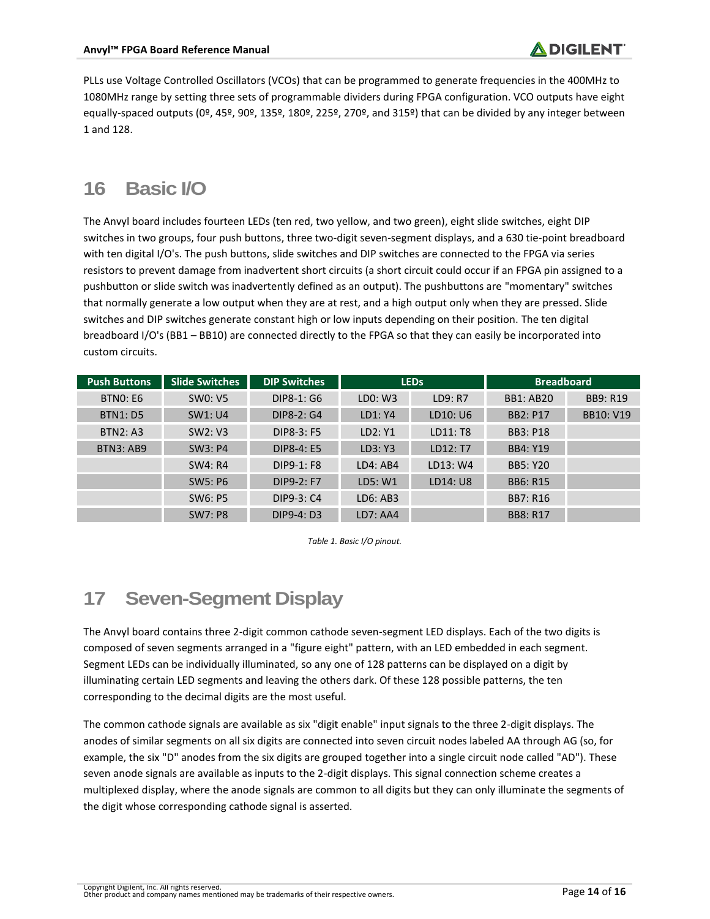PLLs use Voltage Controlled Oscillators (VCOs) that can be programmed to generate frequencies in the 400MHz to 1080MHz range by setting three sets of programmable dividers during FPGA configuration. VCO outputs have eight equally-spaced outputs (0º, 45º, 90º, 135º, 180º, 225º, 270º, and 315º) that can be divided by any integer between 1 and 128.

#### **16 Basic I/O**

The Anvyl board includes fourteen LEDs (ten red, two yellow, and two green), eight slide switches, eight DIP switches in two groups, four push buttons, three two-digit seven-segment displays, and a 630 tie-point breadboard with ten digital I/O's. The push buttons, slide switches and DIP switches are connected to the FPGA via series resistors to prevent damage from inadvertent short circuits (a short circuit could occur if an FPGA pin assigned to a pushbutton or slide switch was inadvertently defined as an output). The pushbuttons are "momentary" switches that normally generate a low output when they are at rest, and a high output only when they are pressed. Slide switches and DIP switches generate constant high or low inputs depending on their position. The ten digital breadboard I/O's (BB1 – BB10) are connected directly to the FPGA so that they can easily be incorporated into custom circuits.

| <b>Push Buttons</b> | <b>Slide Switches</b> | <b>DIP Switches</b> | <b>LEDS</b> |          | <b>Breadboard</b> |                  |
|---------------------|-----------------------|---------------------|-------------|----------|-------------------|------------------|
| <b>BTNO: E6</b>     | <b>SW0: V5</b>        | DIP8-1: G6          | LD0: W3     | LD9: R7  | <b>BB1: AB20</b>  | <b>BB9: R19</b>  |
| <b>BTN1: D5</b>     | SW1: U4               | DIP8-2: G4          | LD1: Y4     | LD10: U6 | <b>BB2: P17</b>   | <b>BB10: V19</b> |
| <b>BTN2: A3</b>     | SW2: V3               | DIP8-3: F5          | LD2: Y1     | LD11: T8 | <b>BB3: P18</b>   |                  |
| <b>BTN3: AB9</b>    | SW3: P4               | <b>DIP8-4: E5</b>   | LD3: Y3     | LD12: T7 | <b>BB4: Y19</b>   |                  |
|                     | SW4: R4               | DIP9-1: F8          | LD4: AB4    | LD13: W4 | <b>BB5: Y20</b>   |                  |
|                     | SW5: P6               | DIP9-2: F7          | LD5: W1     | LD14: U8 | <b>BB6: R15</b>   |                  |
|                     | SW6: P5               | DIP9-3: C4          | LD6: AB3    |          | <b>BB7: R16</b>   |                  |
|                     | <b>SW7: P8</b>        | DIP9-4: D3          | LD7: AA4    |          | <b>BB8: R17</b>   |                  |



# **17 Seven-Segment Display**

The Anvyl board contains three 2-digit common cathode seven-segment LED displays. Each of the two digits is composed of seven segments arranged in a "figure eight" pattern, with an LED embedded in each segment. Segment LEDs can be individually illuminated, so any one of 128 patterns can be displayed on a digit by illuminating certain LED segments and leaving the others dark. Of these 128 possible patterns, the ten corresponding to the decimal digits are the most useful.

The common cathode signals are available as six "digit enable" input signals to the three 2-digit displays. The anodes of similar segments on all six digits are connected into seven circuit nodes labeled AA through AG (so, for example, the six "D" anodes from the six digits are grouped together into a single circuit node called "AD"). These seven anode signals are available as inputs to the 2-digit displays. This signal connection scheme creates a multiplexed display, where the anode signals are common to all digits but they can only illuminate the segments of the digit whose corresponding cathode signal is asserted.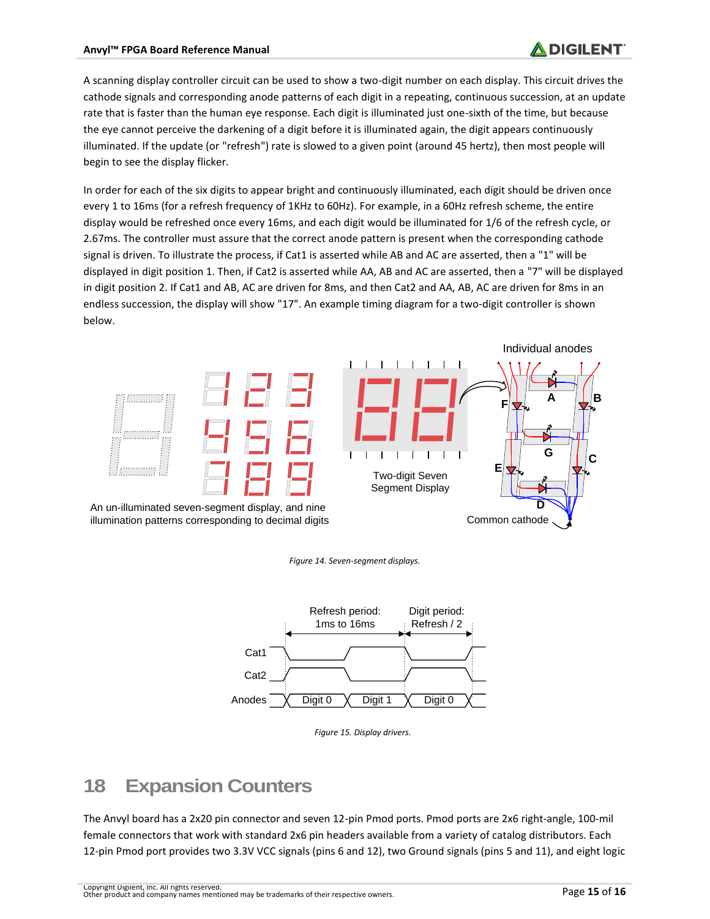A scanning display controller circuit can be used to show a two-digit number on each display. This circuit drives the cathode signals and corresponding anode patterns of each digit in a repeating, continuous succession, at an update rate that is faster than the human eye response. Each digit is illuminated just one-sixth of the time, but because the eye cannot perceive the darkening of a digit before it is illuminated again, the digit appears continuously illuminated. If the update (or "refresh") rate is slowed to a given point (around 45 hertz), then most people will begin to see the display flicker.

In order for each of the six digits to appear bright and continuously illuminated, each digit should be driven once every 1 to 16ms (for a refresh frequency of 1KHz to 60Hz). For example, in a 60Hz refresh scheme, the entire display would be refreshed once every 16ms, and each digit would be illuminated for 1/6 of the refresh cycle, or 2.67ms. The controller must assure that the correct anode pattern is present when the corresponding cathode signal is driven. To illustrate the process, if Cat1 is asserted while AB and AC are asserted, then a "1" will be displayed in digit position 1. Then, if Cat2 is asserted while AA, AB and AC are asserted, then a "7" will be displayed in digit position 2. If Cat1 and AB, AC are driven for 8ms, and then Cat2 and AA, AB, AC are driven for 8ms in an endless succession, the display will show "17". An example timing diagram for a two-digit controller is shown below.







*Figure 15. Display drivers.*

#### **18 Expansion Counters**

The Anvyl board has a 2x20 pin connector and seven 12-pin Pmod ports. Pmod ports are 2x6 right-angle, 100-mil female connectors that work with standard 2x6 pin headers available from a variety of catalog distributors. Each 12-pin Pmod port provides two 3.3V VCC signals (pins 6 and 12), two Ground signals (pins 5 and 11), and eight logic